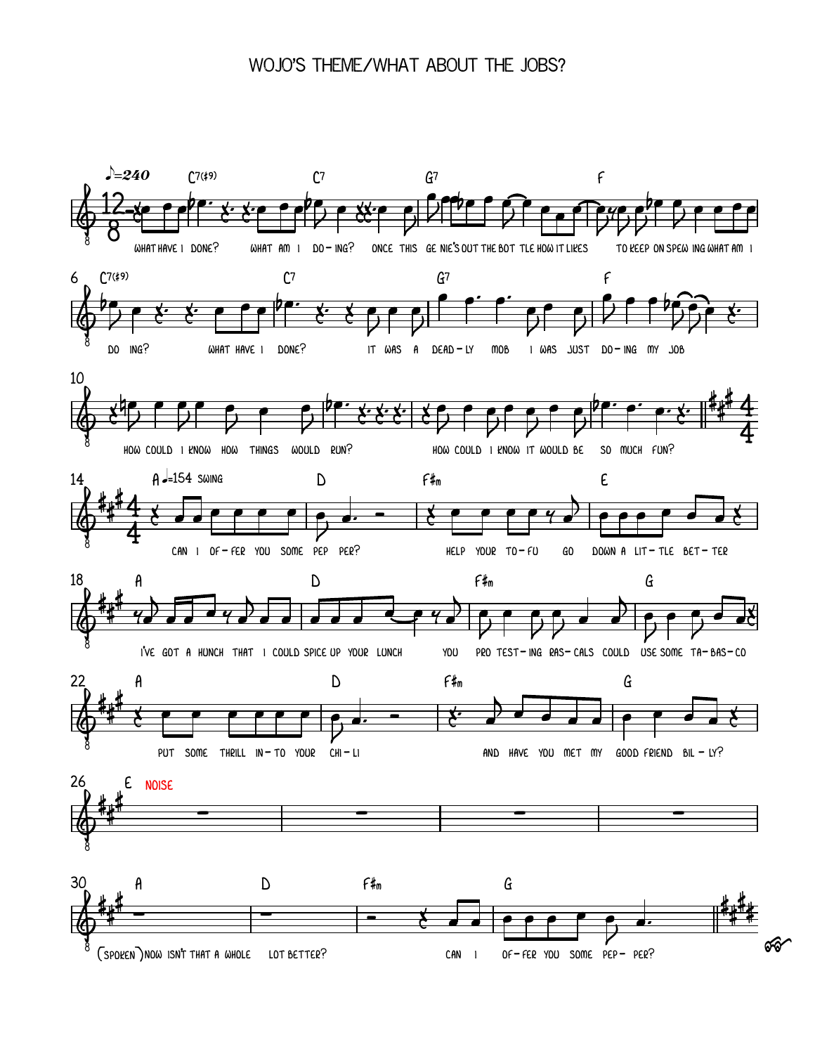## WOJO'S THEME/WHAT ABOUT THE JOBS?

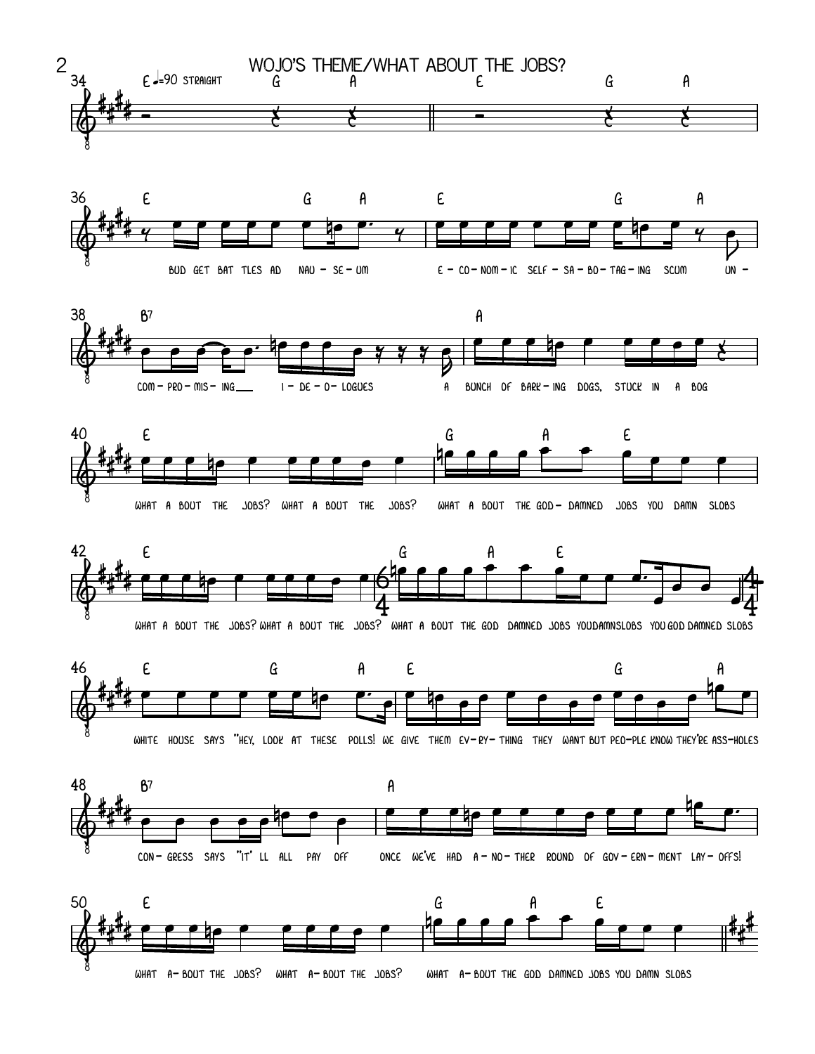